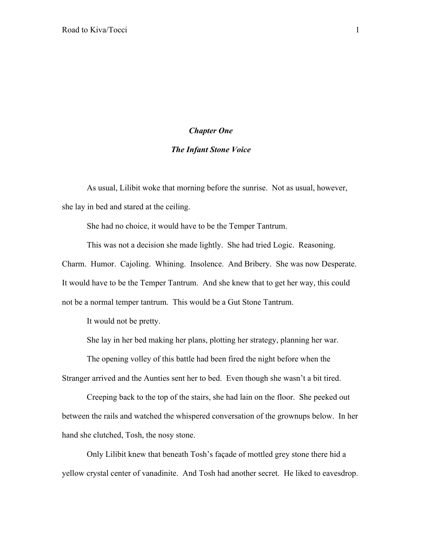# *Chapter One*

# *The Infant Stone Voice*

As usual, Lilibit woke that morning before the sunrise. Not as usual, however, she lay in bed and stared at the ceiling.

She had no choice, it would have to be the Temper Tantrum.

This was not a decision she made lightly. She had tried Logic. Reasoning. Charm. Humor. Cajoling. Whining. Insolence. And Bribery. She was now Desperate. It would have to be the Temper Tantrum. And she knew that to get her way, this could not be a normal temper tantrum. This would be a Gut Stone Tantrum.

It would not be pretty.

She lay in her bed making her plans, plotting her strategy, planning her war.

The opening volley of this battle had been fired the night before when the Stranger arrived and the Aunties sent her to bed. Even though she wasn't a bit tired.

Creeping back to the top of the stairs, she had lain on the floor. She peeked out between the rails and watched the whispered conversation of the grownups below. In her hand she clutched, Tosh, the nosy stone.

Only Lilibit knew that beneath Tosh's façade of mottled grey stone there hid a yellow crystal center of vanadinite. And Tosh had another secret. He liked to eavesdrop.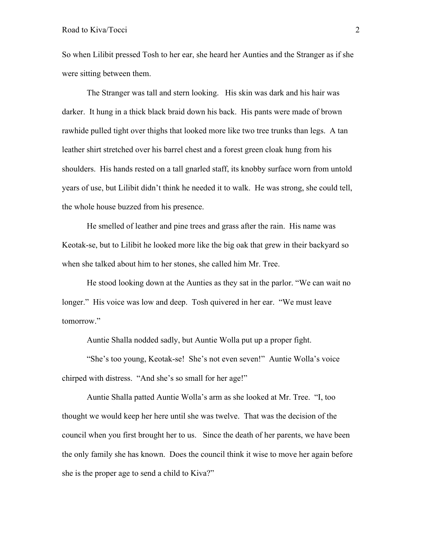So when Lilibit pressed Tosh to her ear, she heard her Aunties and the Stranger as if she were sitting between them.

The Stranger was tall and stern looking. His skin was dark and his hair was darker. It hung in a thick black braid down his back. His pants were made of brown rawhide pulled tight over thighs that looked more like two tree trunks than legs. A tan leather shirt stretched over his barrel chest and a forest green cloak hung from his shoulders. His hands rested on a tall gnarled staff, its knobby surface worn from untold years of use, but Lilibit didn't think he needed it to walk. He was strong, she could tell, the whole house buzzed from his presence.

He smelled of leather and pine trees and grass after the rain. His name was Keotak-se, but to Lilibit he looked more like the big oak that grew in their backyard so when she talked about him to her stones, she called him Mr. Tree.

He stood looking down at the Aunties as they sat in the parlor. "We can wait no longer." His voice was low and deep. Tosh quivered in her ear. "We must leave tomorrow."

Auntie Shalla nodded sadly, but Auntie Wolla put up a proper fight.

"She's too young, Keotak-se! She's not even seven!" Auntie Wolla's voice chirped with distress. "And she's so small for her age!"

Auntie Shalla patted Auntie Wolla's arm as she looked at Mr. Tree. "I, too thought we would keep her here until she was twelve. That was the decision of the council when you first brought her to us. Since the death of her parents, we have been the only family she has known. Does the council think it wise to move her again before she is the proper age to send a child to Kiva?"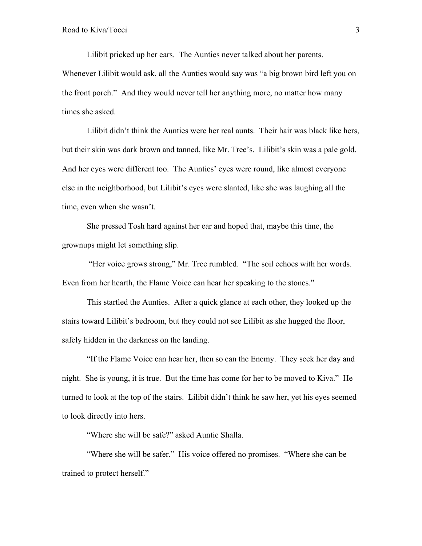Lilibit pricked up her ears. The Aunties never talked about her parents.

Whenever Lilibit would ask, all the Aunties would say was "a big brown bird left you on the front porch." And they would never tell her anything more, no matter how many times she asked.

Lilibit didn't think the Aunties were her real aunts. Their hair was black like hers, but their skin was dark brown and tanned, like Mr. Tree's. Lilibit's skin was a pale gold. And her eyes were different too. The Aunties' eyes were round, like almost everyone else in the neighborhood, but Lilibit's eyes were slanted, like she was laughing all the time, even when she wasn't.

She pressed Tosh hard against her ear and hoped that, maybe this time, the grownups might let something slip.

 "Her voice grows strong," Mr. Tree rumbled. "The soil echoes with her words. Even from her hearth, the Flame Voice can hear her speaking to the stones."

This startled the Aunties. After a quick glance at each other, they looked up the stairs toward Lilibit's bedroom, but they could not see Lilibit as she hugged the floor, safely hidden in the darkness on the landing.

"If the Flame Voice can hear her, then so can the Enemy. They seek her day and night. She is young, it is true. But the time has come for her to be moved to Kiva." He turned to look at the top of the stairs. Lilibit didn't think he saw her, yet his eyes seemed to look directly into hers.

"Where she will be safe?" asked Auntie Shalla.

"Where she will be safer." His voice offered no promises. "Where she can be trained to protect herself."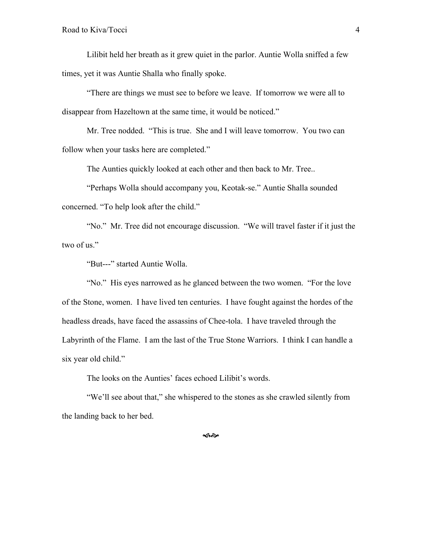Lilibit held her breath as it grew quiet in the parlor. Auntie Wolla sniffed a few times, yet it was Auntie Shalla who finally spoke.

"There are things we must see to before we leave. If tomorrow we were all to disappear from Hazeltown at the same time, it would be noticed."

Mr. Tree nodded. "This is true. She and I will leave tomorrow. You two can follow when your tasks here are completed."

The Aunties quickly looked at each other and then back to Mr. Tree..

"Perhaps Wolla should accompany you, Keotak-se." Auntie Shalla sounded concerned. "To help look after the child."

"No." Mr. Tree did not encourage discussion. "We will travel faster if it just the two of us."

"But---" started Auntie Wolla.

"No." His eyes narrowed as he glanced between the two women. "For the love of the Stone, women. I have lived ten centuries. I have fought against the hordes of the headless dreads, have faced the assassins of Chee-tola. I have traveled through the Labyrinth of the Flame. I am the last of the True Stone Warriors. I think I can handle a six year old child."

The looks on the Aunties' faces echoed Lilibit's words.

"We'll see about that," she whispered to the stones as she crawled silently from the landing back to her bed.

≪১৯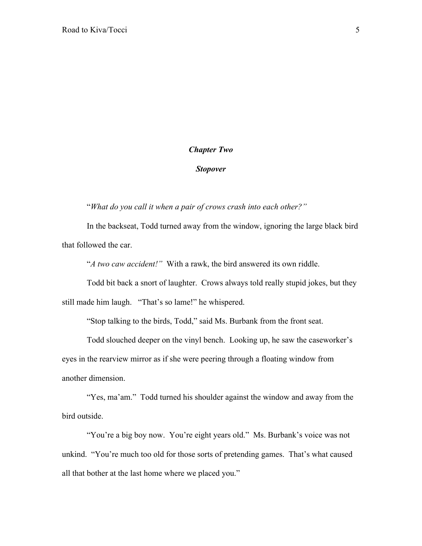# *Chapter Two*

# *Stopover*

"*What do you call it when a pair of crows crash into each other?"* 

In the backseat, Todd turned away from the window, ignoring the large black bird that followed the car.

"*A two caw accident!"* With a rawk, the bird answered its own riddle.

Todd bit back a snort of laughter. Crows always told really stupid jokes, but they still made him laugh. "That's so lame!" he whispered.

"Stop talking to the birds, Todd," said Ms. Burbank from the front seat.

Todd slouched deeper on the vinyl bench. Looking up, he saw the caseworker's eyes in the rearview mirror as if she were peering through a floating window from another dimension.

"Yes, ma'am." Todd turned his shoulder against the window and away from the bird outside.

"You're a big boy now. You're eight years old." Ms. Burbank's voice was not unkind. "You're much too old for those sorts of pretending games. That's what caused all that bother at the last home where we placed you."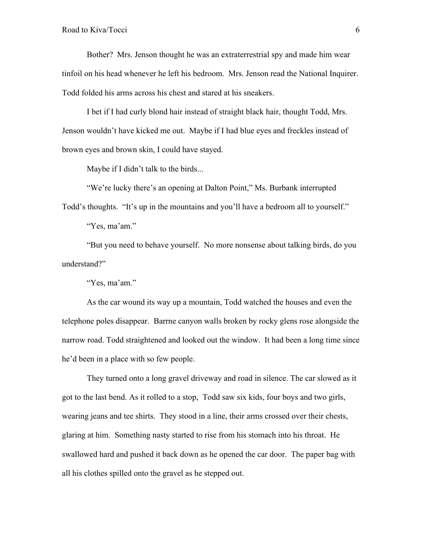Bother? Mrs. Jenson thought he was an extraterrestrial spy and made him wear tinfoil on his head whenever he left his bedroom. Mrs. Jenson read the National Inquirer. Todd folded his arms across his chest and stared at his sneakers.

I bet if I had curly blond hair instead of straight black hair, thought Todd, Mrs. Jenson wouldn't have kicked me out. Maybe if I had blue eyes and freckles instead of brown eyes and brown skin, I could have stayed.

Maybe if I didn't talk to the birds...

"We're lucky there's an opening at Dalton Point," Ms. Burbank interrupted Todd's thoughts. "It's up in the mountains and you'll have a bedroom all to yourself."

"Yes, ma'am."

"But you need to behave yourself. No more nonsense about talking birds, do you understand?"

"Yes, ma'am."

As the car wound its way up a mountain, Todd watched the houses and even the telephone poles disappear. Barrne canyon walls broken by rocky glens rose alongside the narrow road. Todd straightened and looked out the window. It had been a long time since he'd been in a place with so few people.

They turned onto a long gravel driveway and road in silence. The car slowed as it got to the last bend. As it rolled to a stop, Todd saw six kids, four boys and two girls, wearing jeans and tee shirts. They stood in a line, their arms crossed over their chests, glaring at him. Something nasty started to rise from his stomach into his throat. He swallowed hard and pushed it back down as he opened the car door. The paper bag with all his clothes spilled onto the gravel as he stepped out.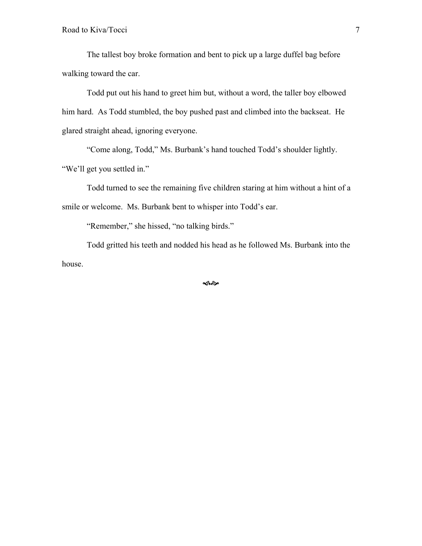The tallest boy broke formation and bent to pick up a large duffel bag before walking toward the car.

Todd put out his hand to greet him but, without a word, the taller boy elbowed him hard. As Todd stumbled, the boy pushed past and climbed into the backseat. He glared straight ahead, ignoring everyone.

"Come along, Todd," Ms. Burbank's hand touched Todd's shoulder lightly.

"We'll get you settled in."

Todd turned to see the remaining five children staring at him without a hint of a smile or welcome. Ms. Burbank bent to whisper into Todd's ear.

"Remember," she hissed, "no talking birds."

Todd gritted his teeth and nodded his head as he followed Ms. Burbank into the house.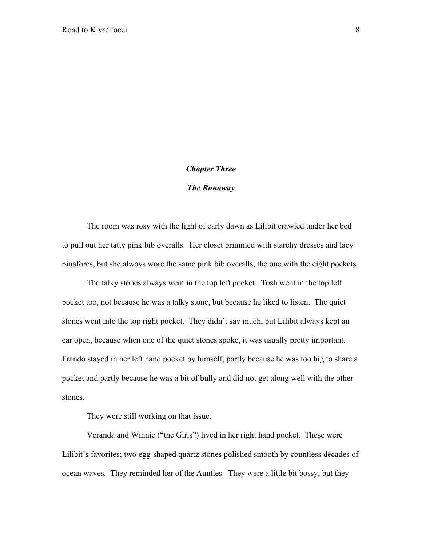### *Chapter Three*

## *The Runaway*

The room was rosy with the light of early dawn as Lilibit crawled under her bed to pull out her tatty pink bib overalls. Her closet brimmed with starchy dresses and lacy pinafores, but she always wore the same pink bib overalls, the one with the eight pockets.

The talky stones always went in the top left pocket. Tosh went in the top left pocket too, not because he was a talky stone, but because he liked to listen. The quiet stones went into the top right pocket. They didn't say much, but Lilibit always kept an ear open, because when one of the quiet stones spoke, it was usually pretty important. Frando stayed in her left hand pocket by himself, partly because he was too big to share a pocket and partly because he was a bit of bully and did not get along well with the other stones.

They were still working on that issue.

Veranda and Winnie ("the Girls") lived in her right hand pocket. These were Lilibit's favorites; two egg-shaped quartz stones polished smooth by countless decades of ocean waves. They reminded her of the Aunties. They were a little bit bossy, but they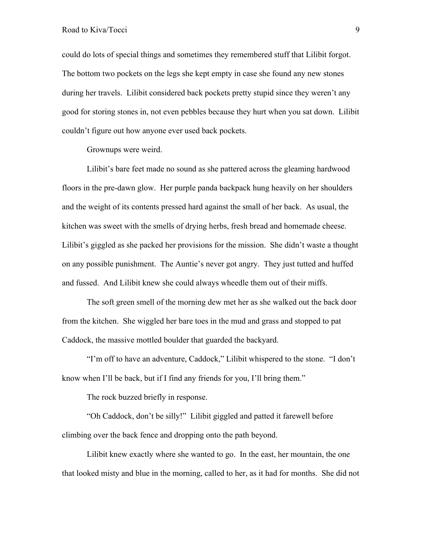# Road to Kiva/Tocci 9

could do lots of special things and sometimes they remembered stuff that Lilibit forgot. The bottom two pockets on the legs she kept empty in case she found any new stones during her travels. Lilibit considered back pockets pretty stupid since they weren't any good for storing stones in, not even pebbles because they hurt when you sat down. Lilibit couldn't figure out how anyone ever used back pockets.

Grownups were weird.

Lilibit's bare feet made no sound as she pattered across the gleaming hardwood floors in the pre-dawn glow. Her purple panda backpack hung heavily on her shoulders and the weight of its contents pressed hard against the small of her back. As usual, the kitchen was sweet with the smells of drying herbs, fresh bread and homemade cheese. Lilibit's giggled as she packed her provisions for the mission. She didn't waste a thought on any possible punishment. The Auntie's never got angry. They just tutted and huffed and fussed. And Lilibit knew she could always wheedle them out of their miffs.

The soft green smell of the morning dew met her as she walked out the back door from the kitchen. She wiggled her bare toes in the mud and grass and stopped to pat Caddock, the massive mottled boulder that guarded the backyard.

"I'm off to have an adventure, Caddock," Lilibit whispered to the stone. "I don't know when I'll be back, but if I find any friends for you, I'll bring them."

The rock buzzed briefly in response.

"Oh Caddock, don't be silly!" Lilibit giggled and patted it farewell before climbing over the back fence and dropping onto the path beyond.

Lilibit knew exactly where she wanted to go. In the east, her mountain, the one that looked misty and blue in the morning, called to her, as it had for months. She did not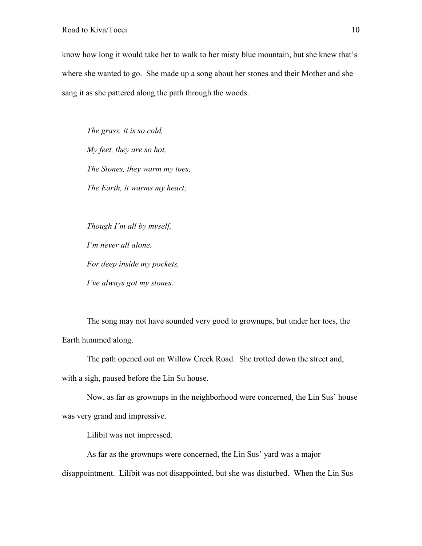know how long it would take her to walk to her misty blue mountain, but she knew that's where she wanted to go. She made up a song about her stones and their Mother and she sang it as she pattered along the path through the woods.

*The grass, it is so cold, My feet, they are so hot, The Stones, they warm my toes, The Earth, it warms my heart;* 

*Though I'm all by myself, I'm never all alone. For deep inside my pockets, I've always got my stones.* 

The song may not have sounded very good to grownups, but under her toes, the Earth hummed along.

The path opened out on Willow Creek Road. She trotted down the street and,

with a sigh, paused before the Lin Su house.

Now, as far as grownups in the neighborhood were concerned, the Lin Sus' house was very grand and impressive.

Lilibit was not impressed.

As far as the grownups were concerned, the Lin Sus' yard was a major disappointment. Lilibit was not disappointed, but she was disturbed. When the Lin Sus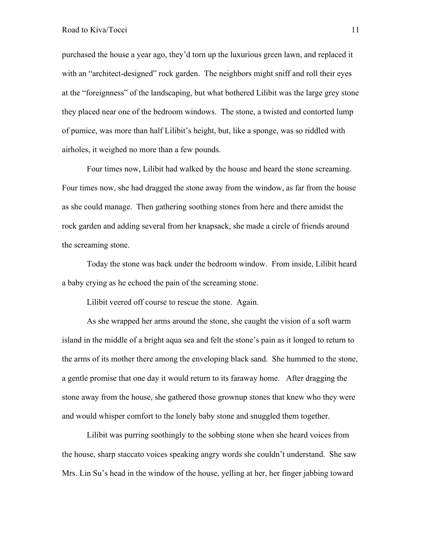purchased the house a year ago, they'd torn up the luxurious green lawn, and replaced it with an "architect-designed" rock garden. The neighbors might sniff and roll their eyes at the "foreignness" of the landscaping, but what bothered Lilibit was the large grey stone they placed near one of the bedroom windows. The stone, a twisted and contorted lump of pumice, was more than half Lilibit's height, but, like a sponge, was so riddled with airholes, it weighed no more than a few pounds.

Four times now, Lilibit had walked by the house and heard the stone screaming. Four times now, she had dragged the stone away from the window, as far from the house as she could manage. Then gathering soothing stones from here and there amidst the rock garden and adding several from her knapsack, she made a circle of friends around the screaming stone.

Today the stone was back under the bedroom window. From inside, Lilibit heard a baby crying as he echoed the pain of the screaming stone.

Lilibit veered off course to rescue the stone. Again.

As she wrapped her arms around the stone, she caught the vision of a soft warm island in the middle of a bright aqua sea and felt the stone's pain as it longed to return to the arms of its mother there among the enveloping black sand. She hummed to the stone, a gentle promise that one day it would return to its faraway home. After dragging the stone away from the house, she gathered those grownup stones that knew who they were and would whisper comfort to the lonely baby stone and snuggled them together.

Lilibit was purring soothingly to the sobbing stone when she heard voices from the house, sharp staccato voices speaking angry words she couldn't understand. She saw Mrs. Lin Su's head in the window of the house, yelling at her, her finger jabbing toward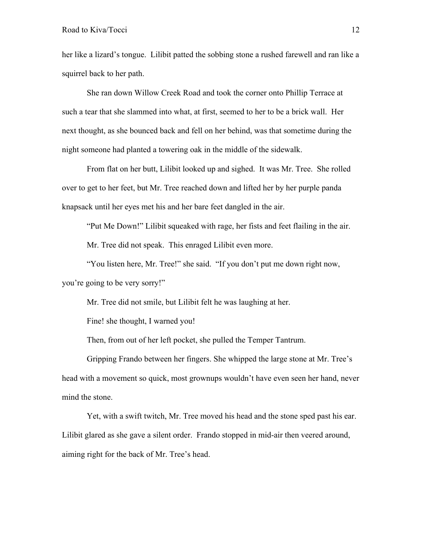her like a lizard's tongue. Lilibit patted the sobbing stone a rushed farewell and ran like a squirrel back to her path.

She ran down Willow Creek Road and took the corner onto Phillip Terrace at such a tear that she slammed into what, at first, seemed to her to be a brick wall. Her next thought, as she bounced back and fell on her behind, was that sometime during the night someone had planted a towering oak in the middle of the sidewalk.

From flat on her butt, Lilibit looked up and sighed. It was Mr. Tree. She rolled over to get to her feet, but Mr. Tree reached down and lifted her by her purple panda knapsack until her eyes met his and her bare feet dangled in the air.

"Put Me Down!" Lilibit squeaked with rage, her fists and feet flailing in the air. Mr. Tree did not speak. This enraged Lilibit even more.

"You listen here, Mr. Tree!" she said. "If you don't put me down right now, you're going to be very sorry!"

Mr. Tree did not smile, but Lilibit felt he was laughing at her.

Fine! she thought, I warned you!

Then, from out of her left pocket, she pulled the Temper Tantrum.

Gripping Frando between her fingers. She whipped the large stone at Mr. Tree's head with a movement so quick, most grownups wouldn't have even seen her hand, never mind the stone.

Yet, with a swift twitch, Mr. Tree moved his head and the stone sped past his ear. Lilibit glared as she gave a silent order. Frando stopped in mid-air then veered around, aiming right for the back of Mr. Tree's head.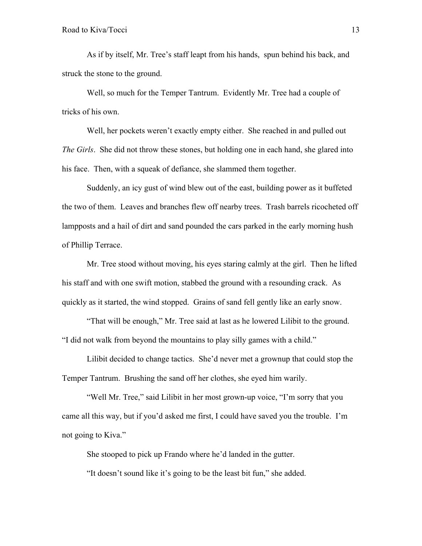As if by itself, Mr. Tree's staff leapt from his hands, spun behind his back, and struck the stone to the ground.

Well, so much for the Temper Tantrum. Evidently Mr. Tree had a couple of tricks of his own.

Well, her pockets weren't exactly empty either. She reached in and pulled out *The Girls*. She did not throw these stones, but holding one in each hand, she glared into his face. Then, with a squeak of defiance, she slammed them together.

Suddenly, an icy gust of wind blew out of the east, building power as it buffeted the two of them. Leaves and branches flew off nearby trees. Trash barrels ricocheted off lampposts and a hail of dirt and sand pounded the cars parked in the early morning hush of Phillip Terrace.

Mr. Tree stood without moving, his eyes staring calmly at the girl. Then he lifted his staff and with one swift motion, stabbed the ground with a resounding crack. As quickly as it started, the wind stopped. Grains of sand fell gently like an early snow.

"That will be enough," Mr. Tree said at last as he lowered Lilibit to the ground. "I did not walk from beyond the mountains to play silly games with a child."

Lilibit decided to change tactics. She'd never met a grownup that could stop the Temper Tantrum. Brushing the sand off her clothes, she eyed him warily.

"Well Mr. Tree," said Lilibit in her most grown-up voice, "I'm sorry that you came all this way, but if you'd asked me first, I could have saved you the trouble. I'm not going to Kiva."

She stooped to pick up Frando where he'd landed in the gutter.

"It doesn't sound like it's going to be the least bit fun," she added.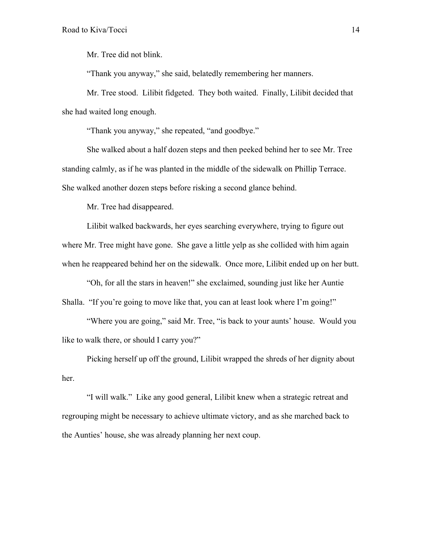Mr. Tree did not blink.

"Thank you anyway," she said, belatedly remembering her manners.

Mr. Tree stood. Lilibit fidgeted. They both waited. Finally, Lilibit decided that she had waited long enough.

"Thank you anyway," she repeated, "and goodbye."

She walked about a half dozen steps and then peeked behind her to see Mr. Tree standing calmly, as if he was planted in the middle of the sidewalk on Phillip Terrace. She walked another dozen steps before risking a second glance behind.

Mr. Tree had disappeared.

Lilibit walked backwards, her eyes searching everywhere, trying to figure out where Mr. Tree might have gone. She gave a little yelp as she collided with him again when he reappeared behind her on the sidewalk. Once more, Lilibit ended up on her butt.

"Oh, for all the stars in heaven!" she exclaimed, sounding just like her Auntie Shalla. "If you're going to move like that, you can at least look where I'm going!"

"Where you are going," said Mr. Tree, "is back to your aunts' house. Would you like to walk there, or should I carry you?"

Picking herself up off the ground, Lilibit wrapped the shreds of her dignity about her.

"I will walk." Like any good general, Lilibit knew when a strategic retreat and regrouping might be necessary to achieve ultimate victory, and as she marched back to the Aunties' house, she was already planning her next coup.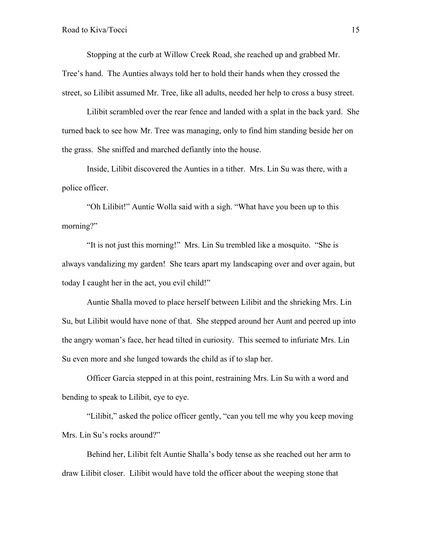Stopping at the curb at Willow Creek Road, she reached up and grabbed Mr. Tree's hand. The Aunties always told her to hold their hands when they crossed the street, so Lilibit assumed Mr. Tree, like all adults, needed her help to cross a busy street.

Lilibit scrambled over the rear fence and landed with a splat in the back yard. She turned back to see how Mr. Tree was managing, only to find him standing beside her on the grass. She sniffed and marched defiantly into the house.

Inside, Lilibit discovered the Aunties in a tither. Mrs. Lin Su was there, with a police officer.

"Oh Lilibit!" Auntie Wolla said with a sigh. "What have you been up to this morning?"

"It is not just this morning!" Mrs. Lin Su trembled like a mosquito. "She is always vandalizing my garden! She tears apart my landscaping over and over again, but today I caught her in the act, you evil child!"

Auntie Shalla moved to place herself between Lilibit and the shrieking Mrs. Lin Su, but Lilibit would have none of that. She stepped around her Aunt and peered up into the angry woman's face, her head tilted in curiosity. This seemed to infuriate Mrs. Lin Su even more and she lunged towards the child as if to slap her.

Officer Garcia stepped in at this point, restraining Mrs. Lin Su with a word and bending to speak to Lilibit, eye to eye.

"Lilibit," asked the police officer gently, "can you tell me why you keep moving Mrs. Lin Su's rocks around?"

Behind her, Lilibit felt Auntie Shalla's body tense as she reached out her arm to draw Lilibit closer. Lilibit would have told the officer about the weeping stone that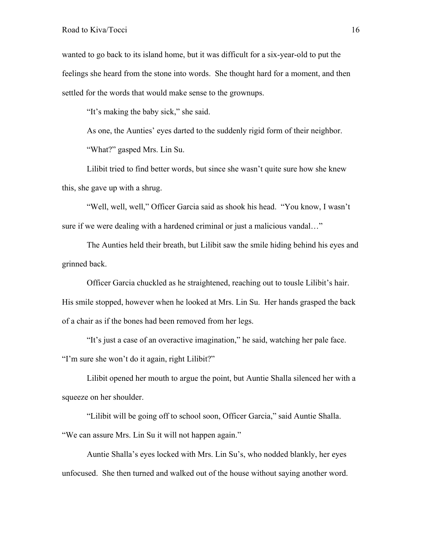wanted to go back to its island home, but it was difficult for a six-year-old to put the feelings she heard from the stone into words. She thought hard for a moment, and then settled for the words that would make sense to the grownups.

"It's making the baby sick," she said.

As one, the Aunties' eyes darted to the suddenly rigid form of their neighbor. "What?" gasped Mrs. Lin Su.

Lilibit tried to find better words, but since she wasn't quite sure how she knew this, she gave up with a shrug.

"Well, well, well," Officer Garcia said as shook his head. "You know, I wasn't sure if we were dealing with a hardened criminal or just a malicious vandal…"

The Aunties held their breath, but Lilibit saw the smile hiding behind his eyes and grinned back.

Officer Garcia chuckled as he straightened, reaching out to tousle Lilibit's hair. His smile stopped, however when he looked at Mrs. Lin Su. Her hands grasped the back of a chair as if the bones had been removed from her legs.

"It's just a case of an overactive imagination," he said, watching her pale face. "I'm sure she won't do it again, right Lilibit?"

Lilibit opened her mouth to argue the point, but Auntie Shalla silenced her with a squeeze on her shoulder.

"Lilibit will be going off to school soon, Officer Garcia," said Auntie Shalla. "We can assure Mrs. Lin Su it will not happen again."

Auntie Shalla's eyes locked with Mrs. Lin Su's, who nodded blankly, her eyes unfocused. She then turned and walked out of the house without saying another word.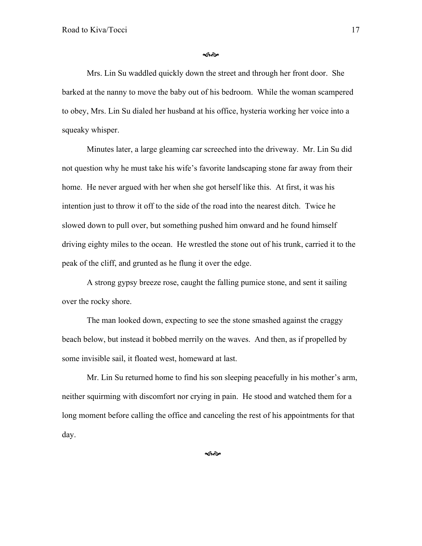≪১৯

Mrs. Lin Su waddled quickly down the street and through her front door. She barked at the nanny to move the baby out of his bedroom. While the woman scampered to obey, Mrs. Lin Su dialed her husband at his office, hysteria working her voice into a squeaky whisper.

Minutes later, a large gleaming car screeched into the driveway. Mr. Lin Su did not question why he must take his wife's favorite landscaping stone far away from their home. He never argued with her when she got herself like this. At first, it was his intention just to throw it off to the side of the road into the nearest ditch. Twice he slowed down to pull over, but something pushed him onward and he found himself driving eighty miles to the ocean. He wrestled the stone out of his trunk, carried it to the peak of the cliff, and grunted as he flung it over the edge.

A strong gypsy breeze rose, caught the falling pumice stone, and sent it sailing over the rocky shore.

The man looked down, expecting to see the stone smashed against the craggy beach below, but instead it bobbed merrily on the waves. And then, as if propelled by some invisible sail, it floated west, homeward at last.

Mr. Lin Su returned home to find his son sleeping peacefully in his mother's arm, neither squirming with discomfort nor crying in pain. He stood and watched them for a long moment before calling the office and canceling the rest of his appointments for that day.

≪১∂≫